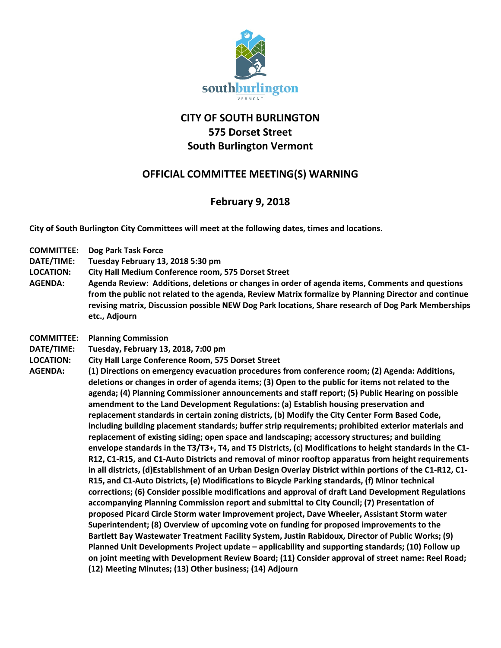

## **CITY OF SOUTH BURLINGTON 575 Dorset Street South Burlington Vermont**

## **OFFICIAL COMMITTEE MEETING(S) WARNING**

## **February 9, 2018**

**City of South Burlington City Committees will meet at the following dates, times and locations.** 

- **COMMITTEE: Dog Park Task Force**
- **DATE/TIME: Tuesday February 13, 2018 5:30 pm**
- **LOCATION: City Hall Medium Conference room, 575 Dorset Street**
- **AGENDA: Agenda Review: Additions, deletions or changes in order of agenda items, Comments and questions from the public not related to the agenda, Review Matrix formalize by Planning Director and continue revising matrix, Discussion possible NEW Dog Park locations, Share research of Dog Park Memberships etc., Adjourn**
- **COMMITTEE: Planning Commission**
- **DATE/TIME: Tuesday, February 13, 2018, 7:00 pm**
- **LOCATION: City Hall Large Conference Room, 575 Dorset Street**
- **AGENDA: (1) Directions on emergency evacuation procedures from conference room; (2) Agenda: Additions, deletions or changes in order of agenda items; (3) Open to the public for items not related to the agenda; (4) Planning Commissioner announcements and staff report; (5) Public Hearing on possible amendment to the Land Development Regulations: (a) Establish housing preservation and replacement standards in certain zoning districts, (b) Modify the City Center Form Based Code, including building placement standards; buffer strip requirements; prohibited exterior materials and replacement of existing siding; open space and landscaping; accessory structures; and building envelope standards in the T3/T3+, T4, and T5 Districts, (c) Modifications to height standards in the C1- R12, C1-R15, and C1-Auto Districts and removal of minor rooftop apparatus from height requirements in all districts, (d)Establishment of an Urban Design Overlay District within portions of the C1-R12, C1- R15, and C1-Auto Districts, (e) Modifications to Bicycle Parking standards, (f) Minor technical corrections; (6) Consider possible modifications and approval of draft Land Development Regulations accompanying Planning Commission report and submittal to City Council; (7) Presentation of proposed Picard Circle Storm water Improvement project, Dave Wheeler, Assistant Storm water Superintendent; (8) Overview of upcoming vote on funding for proposed improvements to the Bartlett Bay Wastewater Treatment Facility System, Justin Rabidoux, Director of Public Works; (9) Planned Unit Developments Project update – applicability and supporting standards; (10) Follow up on joint meeting with Development Review Board; (11) Consider approval of street name: Reel Road; (12) Meeting Minutes; (13) Other business; (14) Adjourn**